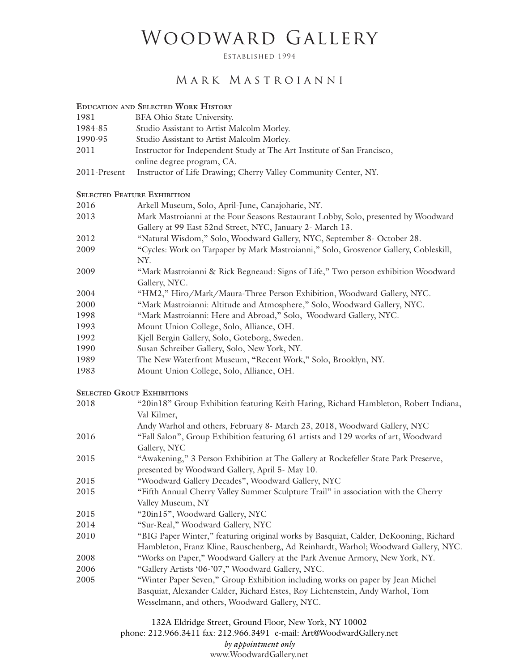## WOODWARD GALLERY

Established 1994

## Mark Mastroianni

## **Education and Selected Work History**

- 1981 BFA Ohio State University.
- 1984-85 Studio Assistant to Artist Malcolm Morley.
- 1990-95 Studio Assistant to Artist Malcolm Morley.
- 2011 Instructor for Independent Study at The Art Institute of San Francisco,
	- online degree program, CA.
- 2011-Present Instructor of Life Drawing; Cherry Valley Community Center, NY.

## **SELECTED FEATURE EXHIBITION**

| 2016 | Arkell Museum, Solo, April-June, Canajoharie, NY.                                    |
|------|--------------------------------------------------------------------------------------|
| 2013 | Mark Mastroianni at the Four Seasons Restaurant Lobby, Solo, presented by Woodward   |
|      | Gallery at 99 East 52nd Street, NYC, January 2- March 13.                            |
| 2012 | "Natural Wisdom," Solo, Woodward Gallery, NYC, September 8- October 28.              |
| 2009 | "Cycles: Work on Tarpaper by Mark Mastroianni," Solo, Grosvenor Gallery, Cobleskill, |
|      | NY.                                                                                  |
| 2009 | "Mark Mastroianni & Rick Begneaud: Signs of Life," Two person exhibition Woodward    |
|      | Gallery, NYC.                                                                        |
| 2004 | "HM2," Hiro/Mark/Maura-Three Person Exhibition, Woodward Gallery, NYC.               |
| 2000 | "Mark Mastroianni: Altitude and Atmosphere," Solo, Woodward Gallery, NYC.            |
| 1998 | "Mark Mastroianni: Here and Abroad," Solo, Woodward Gallery, NYC.                    |
| 1993 | Mount Union College, Solo, Alliance, OH.                                             |
| 1992 | Kjell Bergin Gallery, Solo, Goteborg, Sweden.                                        |
| 1990 | Susan Schreiber Gallery, Solo, New York, NY.                                         |
| 1989 | The New Waterfront Museum, "Recent Work," Solo, Brooklyn, NY.                        |
| 1983 | Mount Union College, Solo, Alliance, OH.                                             |
|      | <b>SELECTED GROUP EXHIBITIONS</b>                                                    |
| 2018 | "20in18" Group Exhibition featuring Keith Haring, Richard Hambleton, Robert Indiana, |
|      |                                                                                      |

|      | <u>oroup Emmortion reuturing restin raumigi ruemus raumoretoni reocent anumini</u>   |
|------|--------------------------------------------------------------------------------------|
|      | Val Kilmer,                                                                          |
|      | Andy Warhol and others, February 8- March 23, 2018, Woodward Gallery, NYC            |
| 2016 | "Fall Salon", Group Exhibition featuring 61 artists and 129 works of art, Woodward   |
|      | Gallery, NYC                                                                         |
| 2015 | "Awakening," 3 Person Exhibition at The Gallery at Rockefeller State Park Preserve,  |
|      | presented by Woodward Gallery, April 5- May 10.                                      |
| 2015 | "Woodward Gallery Decades", Woodward Gallery, NYC                                    |
| 2015 | "Fifth Annual Cherry Valley Summer Sculpture Trail" in association with the Cherry   |
|      | Valley Museum, NY                                                                    |
| 2015 | "20in15", Woodward Gallery, NYC                                                      |
| 2014 | "Sur-Real," Woodward Gallery, NYC                                                    |
| 2010 | "BIG Paper Winter," featuring original works by Basquiat, Calder, DeKooning, Richard |
|      | Hambleton, Franz Kline, Rauschenberg, Ad Reinhardt, Warhol; Woodward Gallery, NYC.   |
| 2008 | "Works on Paper," Woodward Gallery at the Park Avenue Armory, New York, NY.          |
| 2006 | "Gallery Artists '06-'07," Woodward Gallery, NYC.                                    |
| 2005 | "Winter Paper Seven," Group Exhibition including works on paper by Jean Michel       |
|      | Basquiat, Alexander Calder, Richard Estes, Roy Lichtenstein, Andy Warhol, Tom        |
|      | Wesselmann, and others, Woodward Gallery, NYC.                                       |
|      |                                                                                      |

132A Eldridge Street, Ground Floor, New York, NY 10002 phone: 212.966.3411 fax: 212.966.3491 e-mail: Art@WoodwardGallery.net *by appointment only* www.WoodwardGallery.net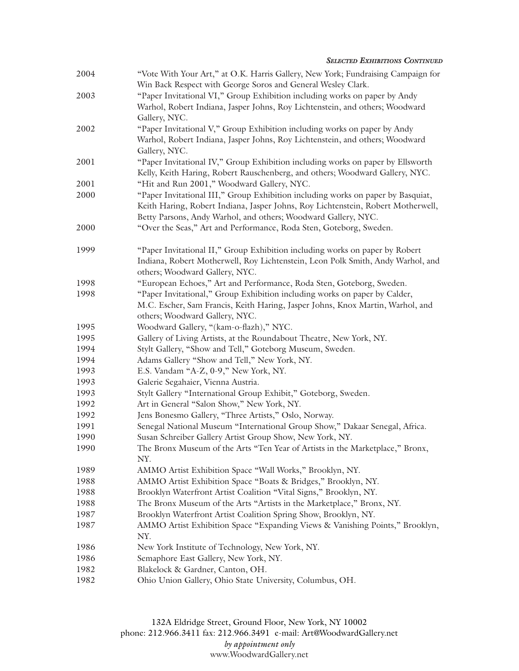|      | <b>SELECTED EXHIBITIONS CONTINUED</b>                                                                                                                                                                                                  |
|------|----------------------------------------------------------------------------------------------------------------------------------------------------------------------------------------------------------------------------------------|
| 2004 | "Vote With Your Art," at O.K. Harris Gallery, New York; Fundraising Campaign for                                                                                                                                                       |
|      | Win Back Respect with George Soros and General Wesley Clark.                                                                                                                                                                           |
| 2003 | "Paper Invitational VI," Group Exhibition including works on paper by Andy                                                                                                                                                             |
|      | Warhol, Robert Indiana, Jasper Johns, Roy Lichtenstein, and others; Woodward<br>Gallery, NYC.                                                                                                                                          |
| 2002 | "Paper Invitational V," Group Exhibition including works on paper by Andy                                                                                                                                                              |
|      | Warhol, Robert Indiana, Jasper Johns, Roy Lichtenstein, and others; Woodward<br>Gallery, NYC.                                                                                                                                          |
| 2001 | "Paper Invitational IV," Group Exhibition including works on paper by Ellsworth<br>Kelly, Keith Haring, Robert Rauschenberg, and others; Woodward Gallery, NYC.                                                                        |
| 2001 | "Hit and Run 2001," Woodward Gallery, NYC.                                                                                                                                                                                             |
| 2000 | "Paper Invitational III," Group Exhibition including works on paper by Basquiat,<br>Keith Haring, Robert Indiana, Jasper Johns, Roy Lichtenstein, Robert Motherwell,<br>Betty Parsons, Andy Warhol, and others; Woodward Gallery, NYC. |
| 2000 | "Over the Seas," Art and Performance, Roda Sten, Goteborg, Sweden.                                                                                                                                                                     |
| 1999 | "Paper Invitational II," Group Exhibition including works on paper by Robert<br>Indiana, Robert Motherwell, Roy Lichtenstein, Leon Polk Smith, Andy Warhol, and<br>others; Woodward Gallery, NYC.                                      |
| 1998 | "European Echoes," Art and Performance, Roda Sten, Goteborg, Sweden.                                                                                                                                                                   |
| 1998 | "Paper Invitational," Group Exhibition including works on paper by Calder,<br>M.C. Escher, Sam Francis, Keith Haring, Jasper Johns, Knox Martin, Warhol, and<br>others; Woodward Gallery, NYC.                                         |
| 1995 | Woodward Gallery, "(kam-o-flazh)," NYC.                                                                                                                                                                                                |
| 1995 | Gallery of Living Artists, at the Roundabout Theatre, New York, NY.                                                                                                                                                                    |
| 1994 | Stylt Gallery, "Show and Tell," Goteborg Museum, Sweden.                                                                                                                                                                               |
| 1994 | Adams Gallery "Show and Tell," New York, NY.                                                                                                                                                                                           |
| 1993 | E.S. Vandam "A-Z, 0-9," New York, NY.                                                                                                                                                                                                  |
| 1993 | Galerie Segahaier, Vienna Austria.                                                                                                                                                                                                     |
| 1993 | Stylt Gallery "International Group Exhibit," Goteborg, Sweden.                                                                                                                                                                         |
| 1992 | Art in General "Salon Show," New York, NY.                                                                                                                                                                                             |
| 1992 | Jens Bonesmo Gallery, "Three Artists," Oslo, Norway.                                                                                                                                                                                   |
| 1991 | Senegal National Museum "International Group Show," Dakaar Senegal, Africa.                                                                                                                                                            |
| 1990 | Susan Schreiber Gallery Artist Group Show, New York, NY.                                                                                                                                                                               |
| 1990 | The Bronx Museum of the Arts "Ten Year of Artists in the Marketplace," Bronx,<br>NY.                                                                                                                                                   |
| 1989 | AMMO Artist Exhibition Space "Wall Works," Brooklyn, NY.                                                                                                                                                                               |
| 1988 | AMMO Artist Exhibition Space "Boats & Bridges," Brooklyn, NY.                                                                                                                                                                          |
| 1988 | Brooklyn Waterfront Artist Coalition "Vital Signs," Brooklyn, NY.                                                                                                                                                                      |
| 1988 | The Bronx Museum of the Arts "Artists in the Marketplace," Bronx, NY.                                                                                                                                                                  |
| 1987 | Brooklyn Waterfront Artist Coalition Spring Show, Brooklyn, NY.                                                                                                                                                                        |
| 1987 | AMMO Artist Exhibition Space "Expanding Views & Vanishing Points," Brooklyn,<br>NY.                                                                                                                                                    |
| 1986 | New York Institute of Technology, New York, NY.                                                                                                                                                                                        |
| 1986 | Semaphore East Gallery, New York, NY.                                                                                                                                                                                                  |
| 1982 | Blakelock & Gardner, Canton, OH.                                                                                                                                                                                                       |
| 1982 | Ohio Union Gallery, Ohio State University, Columbus, OH.                                                                                                                                                                               |

132A Eldridge Street, Ground Floor, New York, NY 10002 phone: 212.966.3411 fax: 212.966.3491 e-mail: Art@WoodwardGallery.net *by appointment only* www.WoodwardGallery.net